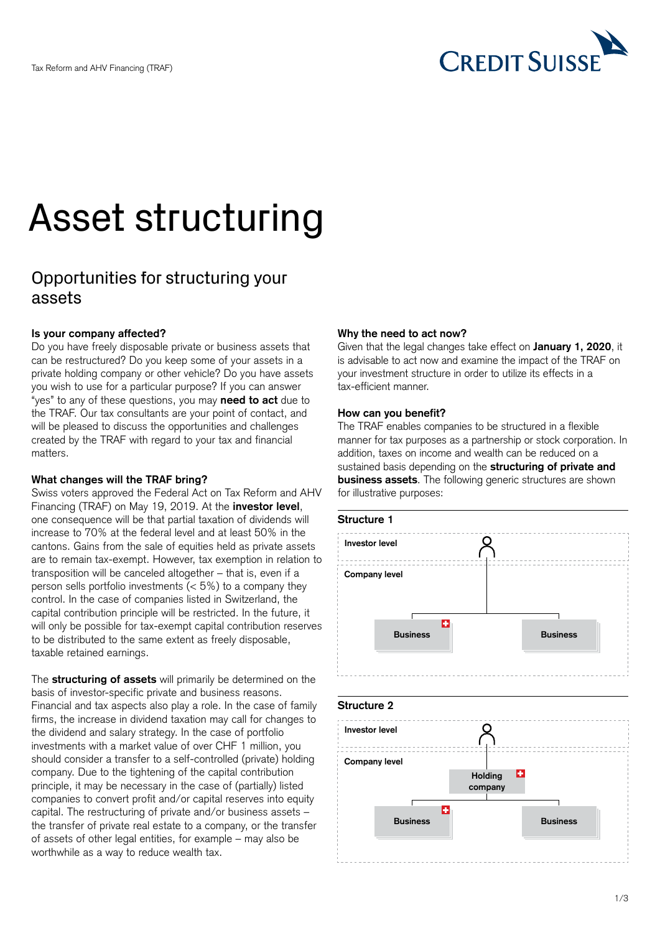

# Asset structuring

# Opportunities for structuring your assets

# **Is your company affected?**

Do you have freely disposable private or business assets that can be restructured? Do you keep some of your assets in a private holding company or other vehicle? Do you have assets you wish to use for a particular purpose? If you can answer "yes" to any of these questions, you may **need to act** due to the TRAF. Our tax consultants are your point of contact, and will be pleased to discuss the opportunities and challenges created by the TRAF with regard to your tax and financial matters.

# **What changes will the TRAF bring?**

Swiss voters approved the Federal Act on Tax Reform and AHV Financing (TRAF) on May 19, 2019. At the **investor level**, one consequence will be that partial taxation of dividends will increase to 70% at the federal level and at least 50% in the cantons. Gains from the sale of equities held as private assets are to remain tax-exempt. However, tax exemption in relation to transposition will be canceled altogether – that is, even if a person sells portfolio investments  $(< 5\%)$  to a company they control. In the case of companies listed in Switzerland, the capital contribution principle will be restricted. In the future, it will only be possible for tax-exempt capital contribution reserves to be distributed to the same extent as freely disposable, taxable retained earnings.

The **structuring of assets** will primarily be determined on the basis of investor-specific private and business reasons. Financial and tax aspects also play a role. In the case of family firms, the increase in dividend taxation may call for changes to the dividend and salary strategy. In the case of portfolio investments with a market value of over CHF 1 million, you should consider a transfer to a self-controlled (private) holding company. Due to the tightening of the capital contribution principle, it may be necessary in the case of (partially) listed companies to convert profit and/or capital reserves into equity capital. The restructuring of private and/or business assets – the transfer of private real estate to a company, or the transfer of assets of other legal entities, for example – may also be worthwhile as a way to reduce wealth tax.

## **Why the need to act now?**

Given that the legal changes take effect on **January 1, 2020**, it is advisable to act now and examine the impact of the TRAF on your investment structure in order to utilize its effects in a tax-efficient manner.

#### **How can you benefit?**

The TRAF enables companies to be structured in a flexible manner for tax purposes as a partnership or stock corporation. In addition, taxes on income and wealth can be reduced on a sustained basis depending on the **structuring of private and business assets**. The following generic structures are shown for illustrative purposes:

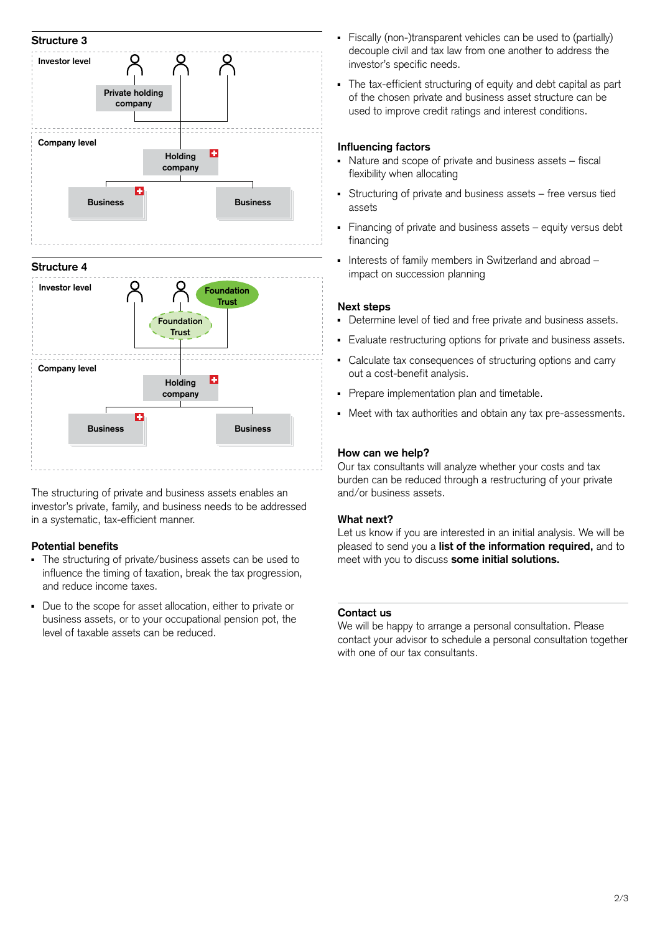

The structuring of private and business assets enables an investor's private, family, and business needs to be addressed in a systematic, tax-efficient manner.

# **Potential benefits**

- The structuring of private/business assets can be used to influence the timing of taxation, break the tax progression, and reduce income taxes.
- Due to the scope for asset allocation, either to private or business assets, or to your occupational pension pot, the level of taxable assets can be reduced.
- Fiscally (non-)transparent vehicles can be used to (partially) decouple civil and tax law from one another to address the investor's specific needs.
- <sup>ȩ</sup> The tax-efficient structuring of equity and debt capital as part of the chosen private and business asset structure can be used to improve credit ratings and interest conditions.

## **Influencing factors**

- <sup>ȩ</sup> Nature and scope of private and business assets fiscal flexibility when allocating
- <sup>ȩ</sup> Structuring of private and business assets free versus tied assets
- Financing of private and business assets equity versus debt financing
- Interests of family members in Switzerland and abroad impact on succession planning

#### **Next steps**

- <sup>ȩ</sup> Determine level of tied and free private and business assets.
- <sup>ȩ</sup> Evaluate restructuring options for private and business assets.
- Calculate tax consequences of structuring options and carry out a cost-benefit analysis.
- <sup>ȩ</sup> Prepare implementation plan and timetable.
- <sup>ȩ</sup> Meet with tax authorities and obtain any tax pre-assessments.

#### **How can we help?**

Our tax consultants will analyze whether your costs and tax burden can be reduced through a restructuring of your private and/or business assets.

#### **What next?**

Let us know if you are interested in an initial analysis. We will be pleased to send you a **list of the information required,** and to meet with you to discuss **some initial solutions.** 

#### **Contact us**

We will be happy to arrange a personal consultation. Please contact your advisor to schedule a personal consultation together with one of our tax consultants.